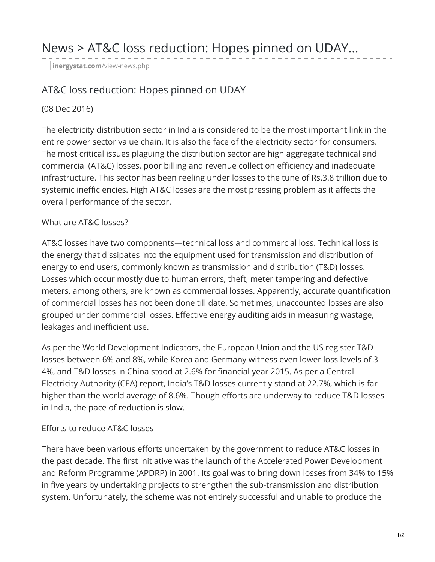# News > AT&C loss reduction: Hopes pinned on UDAY...

**[inergystat.com](http://www.inergystat.com/view-news.php?id=2415)**/view-news.php

## AT&C loss reduction: Hopes pinned on UDAY

#### (08 Dec 2016)

The electricity distribution sector in India is considered to be the most important link in the entire power sector value chain. It is also the face of the electricity sector for consumers. The most critical issues plaguing the distribution sector are high aggregate technical and commercial (AT&C) losses, poor billing and revenue collection efficiency and inadequate infrastructure. This sector has been reeling under losses to the tune of Rs.3.8 trillion due to systemic inefficiencies. High AT&C losses are the most pressing problem as it affects the overall performance of the sector.

### What are AT&C losses?

AT&C losses have two components—technical loss and commercial loss. Technical loss is the energy that dissipates into the equipment used for transmission and distribution of energy to end users, commonly known as transmission and distribution (T&D) losses. Losses which occur mostly due to human errors, theft, meter tampering and defective meters, among others, are known as commercial losses. Apparently, accurate quantification of commercial losses has not been done till date. Sometimes, unaccounted losses are also grouped under commercial losses. Effective energy auditing aids in measuring wastage, leakages and inefficient use.

As per the World Development Indicators, the European Union and the US register T&D losses between 6% and 8%, while Korea and Germany witness even lower loss levels of 3- 4%, and T&D losses in China stood at 2.6% for financial year 2015. As per a Central Electricity Authority (CEA) report, India's T&D losses currently stand at 22.7%, which is far higher than the world average of 8.6%. Though efforts are underway to reduce T&D losses in India, the pace of reduction is slow.

#### Efforts to reduce AT&C losses

There have been various efforts undertaken by the government to reduce AT&C losses in the past decade. The first initiative was the launch of the Accelerated Power Development and Reform Programme (APDRP) in 2001. Its goal was to bring down losses from 34% to 15% in five years by undertaking projects to strengthen the sub-transmission and distribution system. Unfortunately, the scheme was not entirely successful and unable to produce the